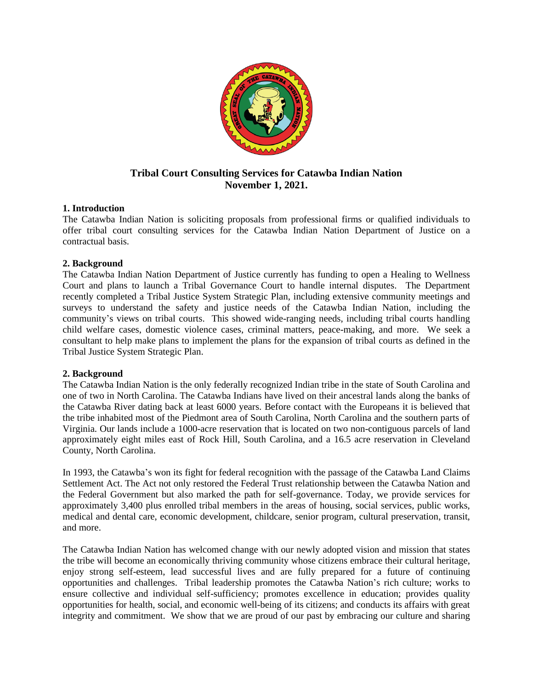

# **Tribal Court Consulting Services for Catawba Indian Nation November 1, 2021.**

## **1. Introduction**

The Catawba Indian Nation is soliciting proposals from professional firms or qualified individuals to offer tribal court consulting services for the Catawba Indian Nation Department of Justice on a contractual basis.

## **2. Background**

The Catawba Indian Nation Department of Justice currently has funding to open a Healing to Wellness Court and plans to launch a Tribal Governance Court to handle internal disputes. The Department recently completed a Tribal Justice System Strategic Plan, including extensive community meetings and surveys to understand the safety and justice needs of the Catawba Indian Nation, including the community's views on tribal courts. This showed wide-ranging needs, including tribal courts handling child welfare cases, domestic violence cases, criminal matters, peace-making, and more. We seek a consultant to help make plans to implement the plans for the expansion of tribal courts as defined in the Tribal Justice System Strategic Plan.

# **2. Background**

The Catawba Indian Nation is the only federally recognized Indian tribe in the state of South Carolina and one of two in North Carolina. The Catawba Indians have lived on their ancestral lands along the banks of the Catawba River dating back at least 6000 years. Before contact with the Europeans it is believed that the tribe inhabited most of the Piedmont area of South Carolina, North Carolina and the southern parts of Virginia. Our lands include a 1000-acre reservation that is located on two non-contiguous parcels of land approximately eight miles east of Rock Hill, South Carolina, and a 16.5 acre reservation in Cleveland County, North Carolina.

In 1993, the Catawba's won its fight for federal recognition with the passage of the Catawba Land Claims Settlement Act. The Act not only restored the Federal Trust relationship between the Catawba Nation and the Federal Government but also marked the path for self-governance. Today, we provide services for approximately 3,400 plus enrolled tribal members in the areas of housing, social services, public works, medical and dental care, economic development, childcare, senior program, cultural preservation, transit, and more.

The Catawba Indian Nation has welcomed change with our newly adopted vision and mission that states the tribe will become an economically thriving community whose citizens embrace their cultural heritage, enjoy strong self-esteem, lead successful lives and are fully prepared for a future of continuing opportunities and challenges. Tribal leadership promotes the Catawba Nation's rich culture; works to ensure collective and individual self-sufficiency; promotes excellence in education; provides quality opportunities for health, social, and economic well-being of its citizens; and conducts its affairs with great integrity and commitment. We show that we are proud of our past by embracing our culture and sharing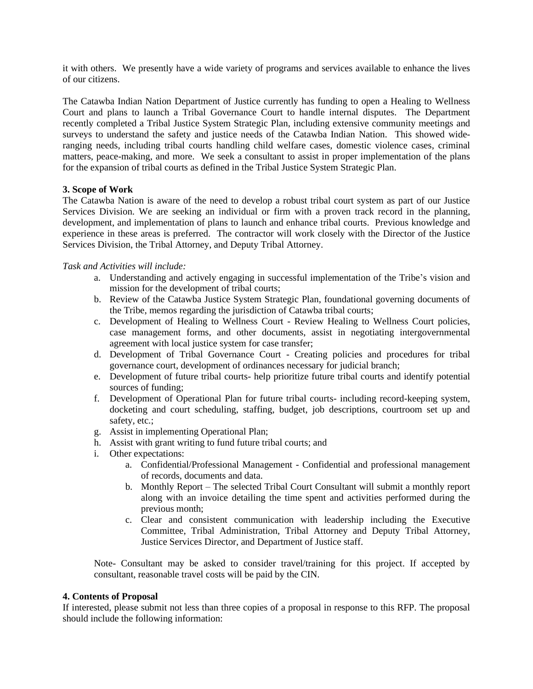it with others. We presently have a wide variety of programs and services available to enhance the lives of our citizens.

The Catawba Indian Nation Department of Justice currently has funding to open a Healing to Wellness Court and plans to launch a Tribal Governance Court to handle internal disputes. The Department recently completed a Tribal Justice System Strategic Plan, including extensive community meetings and surveys to understand the safety and justice needs of the Catawba Indian Nation. This showed wideranging needs, including tribal courts handling child welfare cases, domestic violence cases, criminal matters, peace-making, and more. We seek a consultant to assist in proper implementation of the plans for the expansion of tribal courts as defined in the Tribal Justice System Strategic Plan.

### **3. Scope of Work**

The Catawba Nation is aware of the need to develop a robust tribal court system as part of our Justice Services Division. We are seeking an individual or firm with a proven track record in the planning, development, and implementation of plans to launch and enhance tribal courts. Previous knowledge and experience in these areas is preferred. The contractor will work closely with the Director of the Justice Services Division, the Tribal Attorney, and Deputy Tribal Attorney.

#### *Task and Activities will include:*

- a. Understanding and actively engaging in successful implementation of the Tribe's vision and mission for the development of tribal courts;
- b. Review of the Catawba Justice System Strategic Plan, foundational governing documents of the Tribe, memos regarding the jurisdiction of Catawba tribal courts;
- c. Development of Healing to Wellness Court Review Healing to Wellness Court policies, case management forms, and other documents, assist in negotiating intergovernmental agreement with local justice system for case transfer;
- d. Development of Tribal Governance Court Creating policies and procedures for tribal governance court, development of ordinances necessary for judicial branch;
- e. Development of future tribal courts- help prioritize future tribal courts and identify potential sources of funding;
- f. Development of Operational Plan for future tribal courts- including record-keeping system, docketing and court scheduling, staffing, budget, job descriptions, courtroom set up and safety, etc.;
- g. Assist in implementing Operational Plan;
- h. Assist with grant writing to fund future tribal courts; and
- i. Other expectations:
	- a. Confidential/Professional Management Confidential and professional management of records, documents and data.
	- b. Monthly Report The selected Tribal Court Consultant will submit a monthly report along with an invoice detailing the time spent and activities performed during the previous month;
	- c. Clear and consistent communication with leadership including the Executive Committee, Tribal Administration, Tribal Attorney and Deputy Tribal Attorney, Justice Services Director, and Department of Justice staff.

Note- Consultant may be asked to consider travel/training for this project. If accepted by consultant, reasonable travel costs will be paid by the CIN.

#### **4. Contents of Proposal**

If interested, please submit not less than three copies of a proposal in response to this RFP. The proposal should include the following information: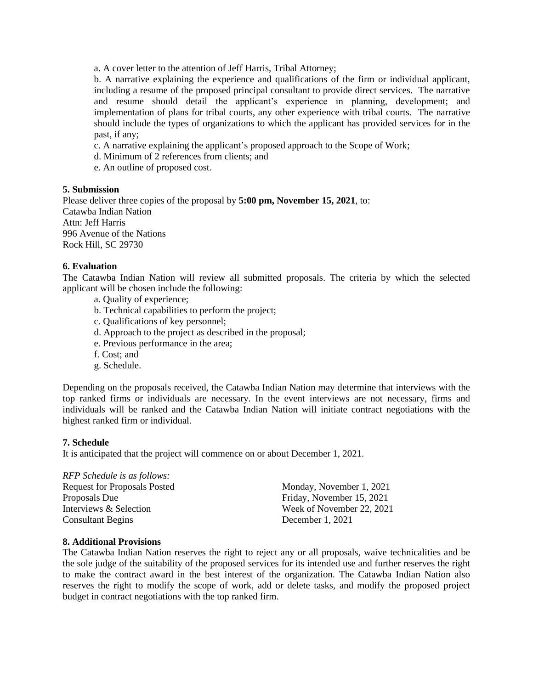a. A cover letter to the attention of Jeff Harris, Tribal Attorney;

b. A narrative explaining the experience and qualifications of the firm or individual applicant, including a resume of the proposed principal consultant to provide direct services. The narrative and resume should detail the applicant's experience in planning, development; and implementation of plans for tribal courts, any other experience with tribal courts. The narrative should include the types of organizations to which the applicant has provided services for in the past, if any;

c. A narrative explaining the applicant's proposed approach to the Scope of Work;

- d. Minimum of 2 references from clients; and
- e. An outline of proposed cost.

#### **5. Submission**

Please deliver three copies of the proposal by **5:00 pm, November 15, 2021**, to: Catawba Indian Nation Attn: Jeff Harris 996 Avenue of the Nations Rock Hill, SC 29730

#### **6. Evaluation**

The Catawba Indian Nation will review all submitted proposals. The criteria by which the selected applicant will be chosen include the following:

- a. Quality of experience;
- b. Technical capabilities to perform the project;
- c. Qualifications of key personnel;
- d. Approach to the project as described in the proposal;
- e. Previous performance in the area;
- f. Cost; and
- g. Schedule.

Depending on the proposals received, the Catawba Indian Nation may determine that interviews with the top ranked firms or individuals are necessary. In the event interviews are not necessary, firms and individuals will be ranked and the Catawba Indian Nation will initiate contract negotiations with the highest ranked firm or individual.

#### **7. Schedule**

It is anticipated that the project will commence on or about December 1, 2021.

# *RFP Schedule is as follows:*

| Request for Proposals Posted | Monday, November 1, 2021  |
|------------------------------|---------------------------|
| Proposals Due                | Friday, November 15, 2021 |
| Interviews & Selection       | Week of November 22, 2021 |
| <b>Consultant Begins</b>     | December $1, 2021$        |

#### **8. Additional Provisions**

The Catawba Indian Nation reserves the right to reject any or all proposals, waive technicalities and be the sole judge of the suitability of the proposed services for its intended use and further reserves the right to make the contract award in the best interest of the organization. The Catawba Indian Nation also reserves the right to modify the scope of work, add or delete tasks, and modify the proposed project budget in contract negotiations with the top ranked firm.